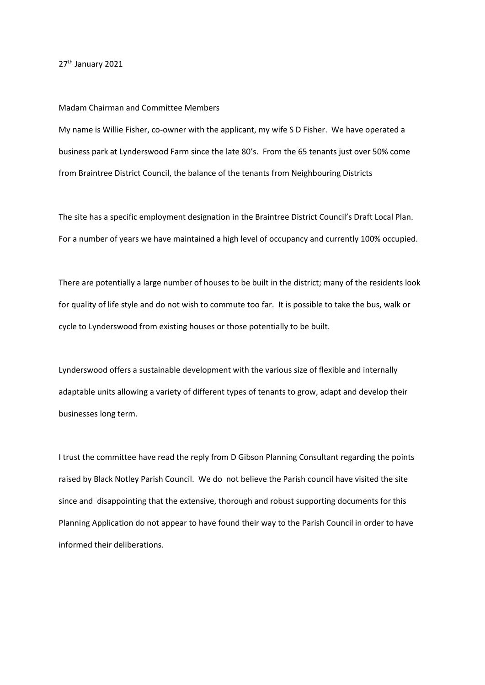## 27<sup>th</sup> January 2021

## Madam Chairman and Committee Members

My name is Willie Fisher, co-owner with the applicant, my wife S D Fisher. We have operated a business park at Lynderswood Farm since the late 80's. From the 65 tenants just over 50% come from Braintree District Council, the balance of the tenants from Neighbouring Districts

The site has a specific employment designation in the Braintree District Council's Draft Local Plan. For a number of years we have maintained a high level of occupancy and currently 100% occupied.

There are potentially a large number of houses to be built in the district; many of the residents look for quality of life style and do not wish to commute too far. It is possible to take the bus, walk or cycle to Lynderswood from existing houses or those potentially to be built.

Lynderswood offers a sustainable development with the various size of flexible and internally adaptable units allowing a variety of different types of tenants to grow, adapt and develop their businesses long term.

I trust the committee have read the reply from D Gibson Planning Consultant regarding the points raised by Black Notley Parish Council. We do not believe the Parish council have visited the site since and disappointing that the extensive, thorough and robust supporting documents for this Planning Application do not appear to have found their way to the Parish Council in order to have informed their deliberations.